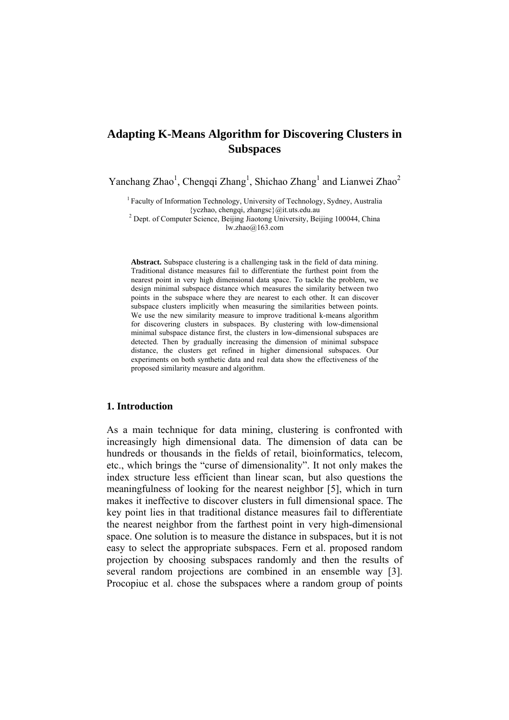# **Adapting K-Means Algorithm for Discovering Clusters in Subspaces**

Yanchang Zhao<sup>1</sup>, Chengqi Zhang<sup>1</sup>, Shichao Zhang<sup>1</sup> and Lianwei Zhao<sup>2</sup>

<sup>1</sup> Faculty of Information Technology, University of Technology, Sydney, Australia {yczhao, chengqi, zhangsc}@it.uts.edu.au {yczhao, chengqi, zhangsc}@it.uts.edu.au 2 Dept. of Computer Science, Beijing Jiaotong University, Beijing 100044, China

lw.zhao@163.com

**Abstract.** Subspace clustering is a challenging task in the field of data mining. Traditional distance measures fail to differentiate the furthest point from the nearest point in very high dimensional data space. To tackle the problem, we design minimal subspace distance which measures the similarity between two points in the subspace where they are nearest to each other. It can discover subspace clusters implicitly when measuring the similarities between points. We use the new similarity measure to improve traditional k-means algorithm for discovering clusters in subspaces. By clustering with low-dimensional minimal subspace distance first, the clusters in low-dimensional subspaces are detected. Then by gradually increasing the dimension of minimal subspace distance, the clusters get refined in higher dimensional subspaces. Our experiments on both synthetic data and real data show the effectiveness of the proposed similarity measure and algorithm.

### **1. Introduction**

As a main technique for data mining, clustering is confronted with increasingly high dimensional data. The dimension of data can be hundreds or thousands in the fields of retail, bioinformatics, telecom, etc., which brings the "curse of dimensionality". It not only makes the index structure less efficient than linear scan, but also questions the meaningfulness of looking for the nearest neighbor [5], which in turn makes it ineffective to discover clusters in full dimensional space. The key point lies in that traditional distance measures fail to differentiate the nearest neighbor from the farthest point in very high-dimensional space. One solution is to measure the distance in subspaces, but it is not easy to select the appropriate subspaces. Fern et al. proposed random projection by choosing subspaces randomly and then the results of several random projections are combined in an ensemble way [3]. Procopiuc et al. chose the subspaces where a random group of points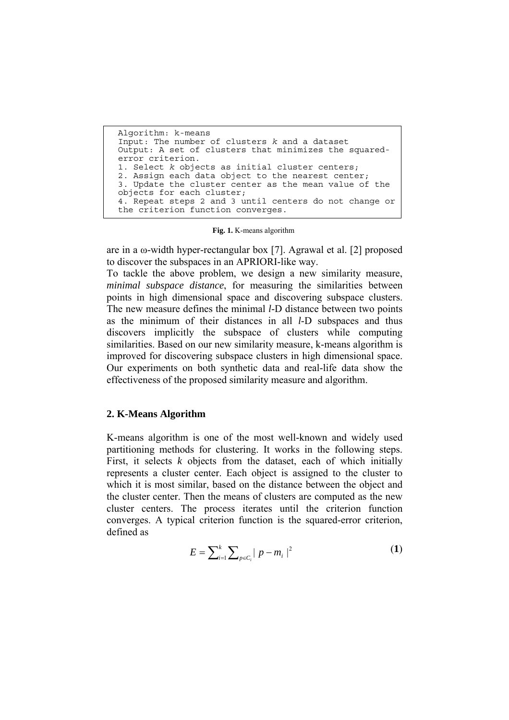```
Algorithm: k-means
Input: The number of clusters k and a dataset 
Output: A set of clusters that minimizes the squared-
error criterion. 
1. Select k objects as initial cluster centers; 
2. Assign each data object to the nearest center; 
3. Update the cluster center as the mean value of the 
objects for each cluster; 
4. Repeat steps 2 and 3 until centers do not change or 
the criterion function converges.
```
**Fig. 1.** K-means algorithm

are in a ω-width hyper-rectangular box [7]. Agrawal et al. [2] proposed to discover the subspaces in an APRIORI-like way.

To tackle the above problem, we design a new similarity measure, *minimal subspace distance*, for measuring the similarities between points in high dimensional space and discovering subspace clusters. The new measure defines the minimal *l*-D distance between two points as the minimum of their distances in all *l*-D subspaces and thus discovers implicitly the subspace of clusters while computing similarities. Based on our new similarity measure, k-means algorithm is improved for discovering subspace clusters in high dimensional space. Our experiments on both synthetic data and real-life data show the effectiveness of the proposed similarity measure and algorithm.

### **2. K-Means Algorithm**

K-means algorithm is one of the most well-known and widely used partitioning methods for clustering. It works in the following steps. First, it selects *k* objects from the dataset, each of which initially represents a cluster center. Each object is assigned to the cluster to which it is most similar, based on the distance between the object and the cluster center. Then the means of clusters are computed as the new cluster centers. The process iterates until the criterion function converges. A typical criterion function is the squared-error criterion, defined as

$$
E = \sum_{i=1}^{k} \sum_{p \in C_i} |p - m_i|^2
$$
 (1)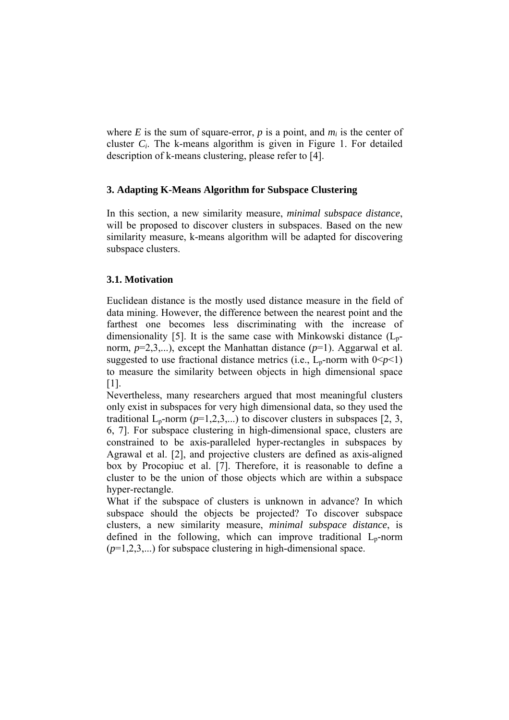where  $E$  is the sum of square-error,  $p$  is a point, and  $m_i$  is the center of cluster *Ci*. The k-means algorithm is given in Figure 1. For detailed description of k-means clustering, please refer to [4].

## **3. Adapting K-Means Algorithm for Subspace Clustering**

In this section, a new similarity measure, *minimal subspace distance*, will be proposed to discover clusters in subspaces. Based on the new similarity measure, k-means algorithm will be adapted for discovering subspace clusters.

## **3.1. Motivation**

Euclidean distance is the mostly used distance measure in the field of data mining. However, the difference between the nearest point and the farthest one becomes less discriminating with the increase of dimensionality [5]. It is the same case with Minkowski distance  $(L_p$ norm,  $p=2,3,...$ ), except the Manhattan distance  $(p=1)$ . Aggarwal et al. suggested to use fractional distance metrics (i.e.,  $L_p$ -norm with  $0 \le p \le 1$ ) to measure the similarity between objects in high dimensional space [1].

Nevertheless, many researchers argued that most meaningful clusters only exist in subspaces for very high dimensional data, so they used the traditional  $L_p$ -norm ( $p=1,2,3,...$ ) to discover clusters in subspaces [2, 3, 6, 7]. For subspace clustering in high-dimensional space, clusters are constrained to be axis-paralleled hyper-rectangles in subspaces by Agrawal et al. [2], and projective clusters are defined as axis-aligned box by Procopiuc et al. [7]. Therefore, it is reasonable to define a cluster to be the union of those objects which are within a subspace hyper-rectangle.

What if the subspace of clusters is unknown in advance? In which subspace should the objects be projected? To discover subspace clusters, a new similarity measure, *minimal subspace distance*, is defined in the following, which can improve traditional  $L_p$ -norm  $(p=1,2,3,...)$  for subspace clustering in high-dimensional space.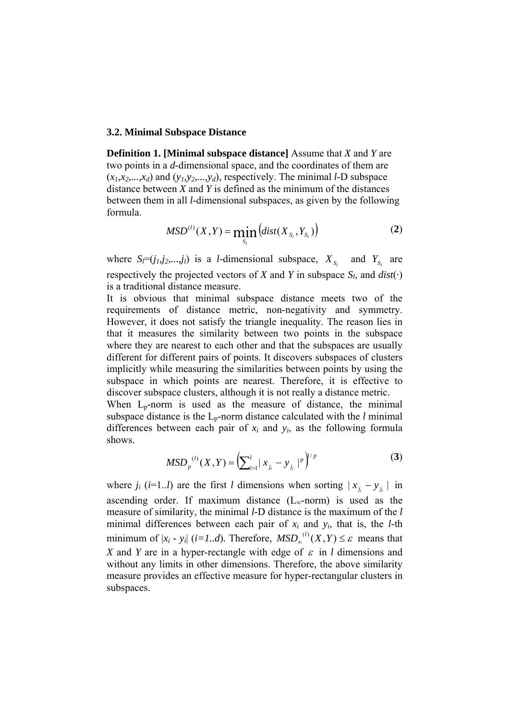#### **3.2. Minimal Subspace Distance**

**Definition 1. [Minimal subspace distance]** Assume that *X* and *Y* are two points in a *d*-dimensional space, and the coordinates of them are  $(x_1, x_2, \ldots, x_d)$  and  $(y_1, y_2, \ldots, y_d)$ , respectively. The minimal *l*-D subspace distance between *X* and *Y* is defined as the minimum of the distances between them in all *l*-dimensional subspaces, as given by the following formula.

$$
MSD^{(l)}(X,Y) = \min_{S_l} \left( dist(X_{S_l}, Y_{S_l}) \right) \tag{2}
$$

where  $S_l = (j_l, j_2, \ldots, j_l)$  is a *l*-dimensional subspace,  $X_{S_l}$  and  $Y_{S_l}$  are respectively the projected vectors of *X* and *Y* in subspace  $S_l$ , and  $dist(\cdot)$ is a traditional distance measure.

It is obvious that minimal subspace distance meets two of the requirements of distance metric, non-negativity and symmetry. However, it does not satisfy the triangle inequality. The reason lies in that it measures the similarity between two points in the subspace where they are nearest to each other and that the subspaces are usually different for different pairs of points. It discovers subspaces of clusters implicitly while measuring the similarities between points by using the subspace in which points are nearest. Therefore, it is effective to discover subspace clusters, although it is not really a distance metric.

When  $L_p$ -norm is used as the measure of distance, the minimal subspace distance is the  $L_p$ -norm distance calculated with the  $l$  minimal differences between each pair of  $x_i$  and  $y_i$ , as the following formula shows.

$$
MSD_p^{(l)}(X,Y) = \left(\sum_{i=1}^l |x_{j_i} - y_{j_i}|^p\right)^{1/p}
$$
 (3)

where  $j_i$  ( $i=1..l$ ) are the first *l* dimensions when sorting  $|x_{j_i} - y_{j_i}|$  in ascending order. If maximum distance ( $L_{\infty}$ -norm) is used as the measure of similarity, the minimal *l*-D distance is the maximum of the *l* minimal differences between each pair of  $x_i$  and  $y_i$ , that is, the *l*-th minimum of  $|x_i - y_i|$  (*i=1..d*). Therefore,  $MSD_{\infty}^{(l)}(X, Y) \leq \varepsilon$  means that *X* and *Y* are in a hyper-rectangle with edge of  $\varepsilon$  in *l* dimensions and without any limits in other dimensions. Therefore, the above similarity measure provides an effective measure for hyper-rectangular clusters in subspaces.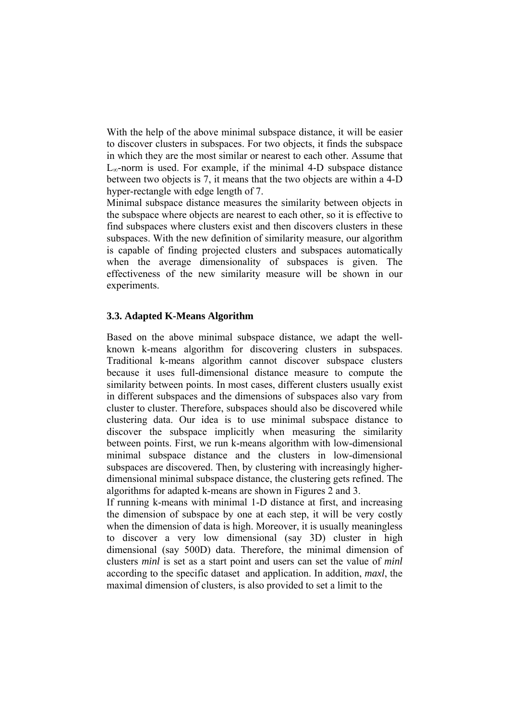With the help of the above minimal subspace distance, it will be easier to discover clusters in subspaces. For two objects, it finds the subspace in which they are the most similar or nearest to each other. Assume that L∞-norm is used. For example, if the minimal 4-D subspace distance between two objects is 7, it means that the two objects are within a 4-D hyper-rectangle with edge length of 7.

Minimal subspace distance measures the similarity between objects in the subspace where objects are nearest to each other, so it is effective to find subspaces where clusters exist and then discovers clusters in these subspaces. With the new definition of similarity measure, our algorithm is capable of finding projected clusters and subspaces automatically when the average dimensionality of subspaces is given. The effectiveness of the new similarity measure will be shown in our experiments.

## **3.3. Adapted K-Means Algorithm**

Based on the above minimal subspace distance, we adapt the wellknown k-means algorithm for discovering clusters in subspaces. Traditional k-means algorithm cannot discover subspace clusters because it uses full-dimensional distance measure to compute the similarity between points. In most cases, different clusters usually exist in different subspaces and the dimensions of subspaces also vary from cluster to cluster. Therefore, subspaces should also be discovered while clustering data. Our idea is to use minimal subspace distance to discover the subspace implicitly when measuring the similarity between points. First, we run k-means algorithm with low-dimensional minimal subspace distance and the clusters in low-dimensional subspaces are discovered. Then, by clustering with increasingly higherdimensional minimal subspace distance, the clustering gets refined. The algorithms for adapted k-means are shown in Figures 2 and 3.

If running k-means with minimal 1-D distance at first, and increasing the dimension of subspace by one at each step, it will be very costly when the dimension of data is high. Moreover, it is usually meaningless to discover a very low dimensional (say 3D) cluster in high dimensional (say 500D) data. Therefore, the minimal dimension of clusters *minl* is set as a start point and users can set the value of *minl* according to the specific dataset and application. In addition, *maxl*, the maximal dimension of clusters, is also provided to set a limit to the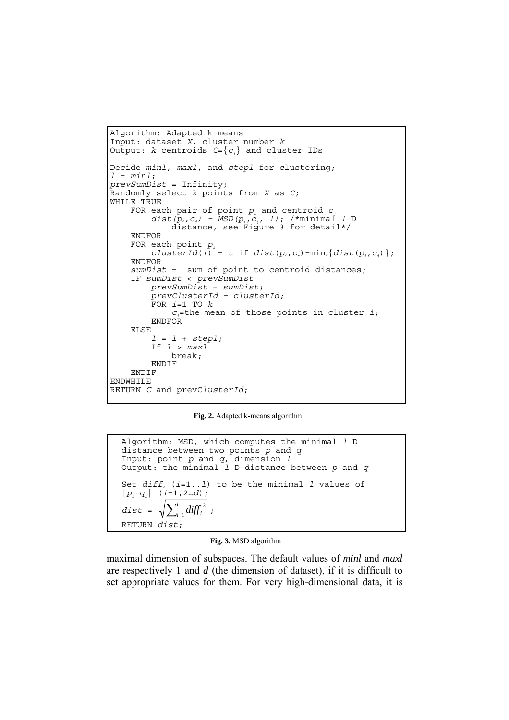```
Algorithm: Adapted k-means
Input: dataset X, cluster number k
Output: k centroids C = \{c_i\} and cluster IDs
Decide minl, maxl, and stepl for clustering; 
l = minl; 
prevSumDist = Infinity; 
Randomly select k points from X as C; 
WHILE TRUE 
    FOR each pair of point p_i and centroid c_i dist(pi,cj) = MSD(pi,cj, l); /*minimal l-D 
               distance, see Figure 3 for detail*/ 
     ENDFOR 
 FOR each point pi 
clusterId(i) = t if dist(p_i, c_t)=min<sub>j</sub>{dist(p_i, c_j)};
     ENDFOR 
     sumDist = sum of point to centroid distances; 
     IF sumDist < prevSumDist prevSumDist = sumDist; prevClusterId = clusterId; 
         FOR i=1 TO k<br>c<sub>i</sub>=the mean of those points in cluster i;
          ENDFOR 
     ELSE 
          l = l + stepl; 
          If l > maxl
               break; 
          ENDIF 
     ENDIF 
ENDWHILE 
RETURN C and prevClusterId;
```
**Fig. 2.** Adapted k-means algorithm

```
Algorithm: MSD, which computes the minimal l-D 
distance between two points p and q
Input: point p and q, dimension l
Output: the minimal l-D distance between p and q
Set diffi (i=1..l) to be the minimal l values of 
|pi-qi| (i=1,2…d); 
dist = \sqrt{\sum_{i=1}^{l}}\int_{i=1}^l \mathbf{d} \mathbf{i} \mathbf{f} \mathbf{f}_i^2 ;
RETURN dist;
```
#### **Fig. 3.** MSD algorithm

maximal dimension of subspaces. The default values of *minl* and *maxl* are respectively 1 and *d* (the dimension of dataset), if it is difficult to set appropriate values for them. For very high-dimensional data, it is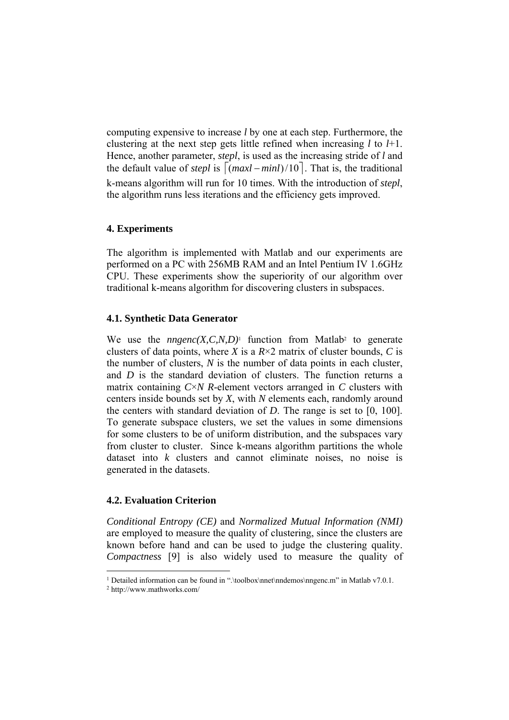computing expensive to increase *l* by one at each step. Furthermore, the clustering at the next step gets little refined when increasing *l* to *l*+1. Hence, another parameter, *stepl*, is used as the increasing stride of *l* and the default value of *stepl* is  $\left[\frac{(maxl - minl)}{10}\right]$ . That is, the traditional k-means algorithm will run for 10 times. With the introduction of *stepl*, the algorithm runs less iterations and the efficiency gets improved.

### **4. Experiments**

The algorithm is implemented with Matlab and our experiments are performed on a PC with 256MB RAM and an Intel Pentium IV 1.6GHz CPU. These experiments show the superiority of our algorithm over traditional k-means algorithm for discovering clusters in subspaces.

#### **4.1. Synthetic Data Generator**

We use the  $nngenc(X, C, N, D)$ <sup>1</sup> function from Matlab<sup>2</sup> to generate clusters of data points, where *X* is a  $R \times 2$  matrix of cluster bounds, *C* is the number of clusters, *N* is the number of data points in each cluster, and *D* is the standard deviation of clusters. The function returns a matrix containing  $C \times N$  *R*-element vectors arranged in *C* clusters with centers inside bounds set by *X*, with *N* elements each, randomly around the centers with standard deviation of *D*. The range is set to [0, 100]. To generate subspace clusters, we set the values in some dimensions for some clusters to be of uniform distribution, and the subspaces vary from cluster to cluster. Since k-means algorithm partitions the whole dataset into *k* clusters and cannot eliminate noises, no noise is generated in the datasets.

## **4.2. Evaluation Criterion**

*Conditional Entropy (CE)* and *Normalized Mutual Information (NMI)* are employed to measure the quality of clustering, since the clusters are known before hand and can be used to judge the clustering quality. *Compactness* [9] is also widely used to measure the quality of

 $\overline{a}$ 

<sup>1</sup> Detailed information can be found in ".\toolbox\nnet\nndemos\nngenc.m" in Matlab v7.0.1. 2 http://www.mathworks.com/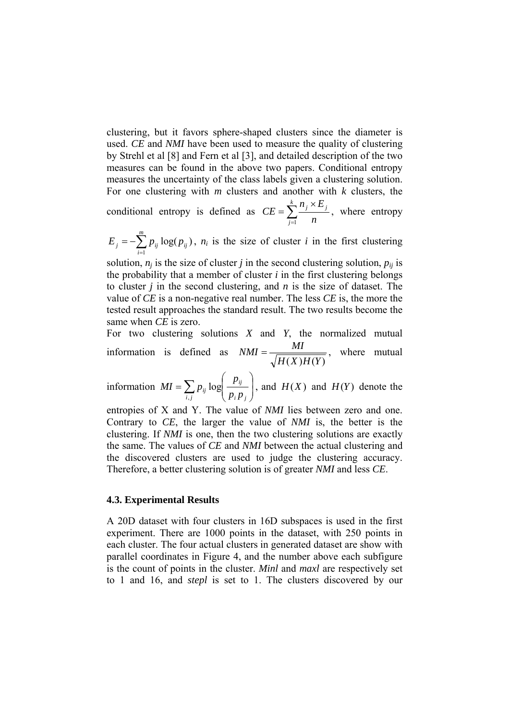clustering, but it favors sphere-shaped clusters since the diameter is used. *CE* and *NMI* have been used to measure the quality of clustering by Strehl et al [8] and Fern et al [3], and detailed description of the two measures can be found in the above two papers. Conditional entropy measures the uncertainty of the class labels given a clustering solution. For one clustering with *m* clusters and another with *k* clusters, the

conditional entropy is defined as  $CE = \sum_{j=1}^{k} \frac{n_j \times n_j}{n}$ *j j j n*  $n_i \times E$ *CE* 1 , where entropy

 $=-\sum_{i=1}^{m}$ *i*  $E_j = -\sum p_{ij} \log(p_{ij})$ 1  $log(p_{ij})$ ,  $n_i$  is the size of cluster *i* in the first clustering

solution,  $n_i$  is the size of cluster *j* in the second clustering solution,  $p_{ij}$  is the probability that a member of cluster  $i$  in the first clustering belongs to cluster *j* in the second clustering, and *n* is the size of dataset. The value of *CE* is a non-negative real number. The less *CE* is, the more the tested result approaches the standard result. The two results become the same when *CE* is zero.

For two clustering solutions *X* and *Y*, the normalized mutual information is defined as *H*(*X* )*H*(*Y*)  $NMI = \frac{MI}{\sqrt{M}}$ , where mutual

information  $MI = \sum_i p_{ij} \log \left| \frac{p_{ij}}{n} \right|$ ⎠ ⎞  $\overline{a}$  $\mathsf{L}$ ⎝  $=\sum p_{ii} \log$ *i*,*j*  $\left\{ P_i P_j \right\}$ *ij*  $\frac{p}{p}$   $\frac{p}{p}$  $MI = \sum p_{ii} \log \left( \frac{p}{p_{ii}} \right)$ ,  $log \frac{F_y}{F_x}$ , and  $H(X)$  and  $H(Y)$  denote the

entropies of X and Y. The value of *NMI* lies between zero and one. Contrary to *CE*, the larger the value of *NMI* is, the better is the clustering. If *NMI* is one, then the two clustering solutions are exactly the same. The values of *CE* and *NMI* between the actual clustering and the discovered clusters are used to judge the clustering accuracy. Therefore, a better clustering solution is of greater *NMI* and less *CE*.

#### **4.3. Experimental Results**

A 20D dataset with four clusters in 16D subspaces is used in the first experiment. There are 1000 points in the dataset, with 250 points in each cluster. The four actual clusters in generated dataset are show with parallel coordinates in Figure 4, and the number above each subfigure is the count of points in the cluster. *Minl* and *maxl* are respectively set to 1 and 16, and *stepl* is set to 1. The clusters discovered by our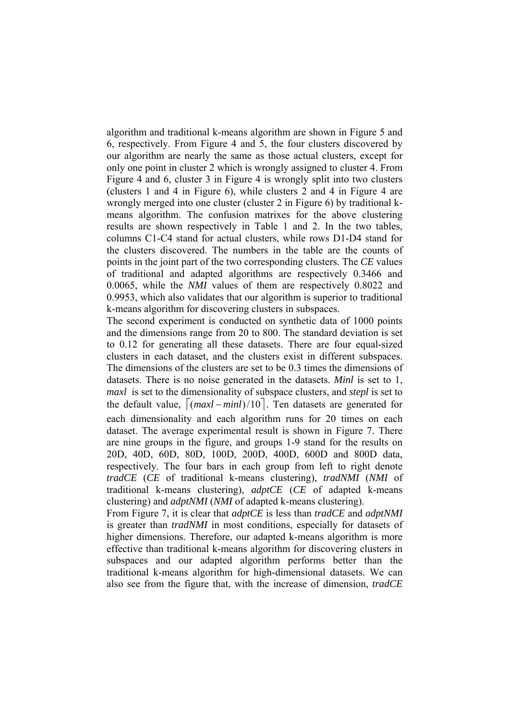algorithm and traditional k-means algorithm are shown in Figure 5 and 6, respectively. From Figure 4 and 5, the four clusters discovered by our algorithm are nearly the same as those actual clusters, except for only one point in cluster 2 which is wrongly assigned to cluster 4. From Figure 4 and 6, cluster 3 in Figure 4 is wrongly split into two clusters (clusters 1 and 4 in Figure 6), while clusters 2 and 4 in Figure 4 are wrongly merged into one cluster (cluster 2 in Figure 6) by traditional kmeans algorithm. The confusion matrixes for the above clustering results are shown respectively in Table 1 and 2. In the two tables, columns C1-C4 stand for actual clusters, while rows D1-D4 stand for the clusters discovered. The numbers in the table are the counts of points in the joint part of the two corresponding clusters. The *CE* values of traditional and adapted algorithms are respectively 0.3466 and 0.0065, while the *NMI* values of them are respectively 0.8022 and 0.9953, which also validates that our algorithm is superior to traditional k-means algorithm for discovering clusters in subspaces.

The second experiment is conducted on synthetic data of 1000 points and the dimensions range from 20 to 800. The standard deviation is set to 0.12 for generating all these datasets. There are four equal-sized clusters in each dataset, and the clusters exist in different subspaces. The dimensions of the clusters are set to be 0.3 times the dimensions of datasets. There is no noise generated in the datasets. *Minl* is set to 1, *maxl* is set to the dimensionality of subspace clusters, and *stepl* is set to the default value,  $\left| \frac{(maxl - minl)}{10} \right|$ . Ten datasets are generated for each dimensionality and each algorithm runs for 20 times on each dataset. The average experimental result is shown in Figure 7. There are nine groups in the figure, and groups 1-9 stand for the results on 20D, 40D, 60D, 80D, 100D, 200D, 400D, 600D and 800D data, respectively. The four bars in each group from left to right denote *tradCE* (*CE* of traditional k-means clustering), *tradNMI* (*NMI* of traditional k-means clustering), *adptCE* (*CE* of adapted k-means clustering) and *adptNMI* (*NMI* of adapted k-means clustering).

From Figure 7, it is clear that *adptCE* is less than *tradCE* and *adptNMI* is greater than *tradNMI* in most conditions, especially for datasets of higher dimensions. Therefore, our adapted k-means algorithm is more effective than traditional k-means algorithm for discovering clusters in subspaces and our adapted algorithm performs better than the traditional k-means algorithm for high-dimensional datasets. We can also see from the figure that, with the increase of dimension, *tradCE*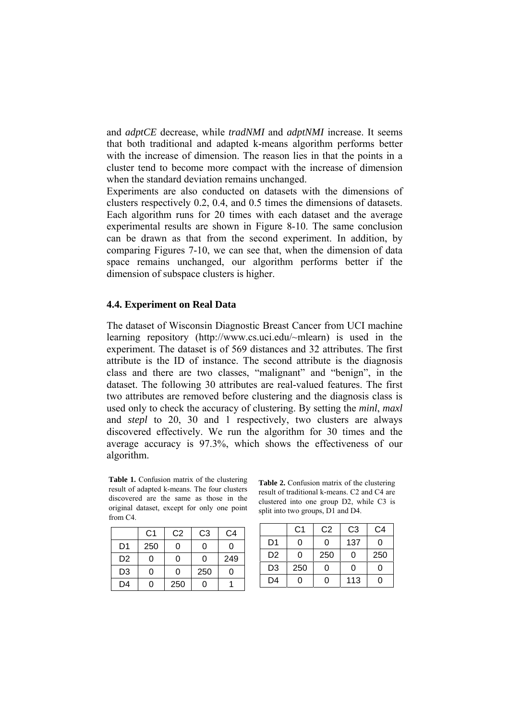and *adptCE* decrease, while *tradNMI* and *adptNMI* increase. It seems that both traditional and adapted k-means algorithm performs better with the increase of dimension. The reason lies in that the points in a cluster tend to become more compact with the increase of dimension when the standard deviation remains unchanged.

Experiments are also conducted on datasets with the dimensions of clusters respectively 0.2, 0.4, and 0.5 times the dimensions of datasets. Each algorithm runs for 20 times with each dataset and the average experimental results are shown in Figure 8-10. The same conclusion can be drawn as that from the second experiment. In addition, by comparing Figures 7-10, we can see that, when the dimension of data space remains unchanged, our algorithm performs better if the dimension of subspace clusters is higher.

#### **4.4. Experiment on Real Data**

The dataset of Wisconsin Diagnostic Breast Cancer from UCI machine learning repository (http://www.cs.uci.edu/~mlearn) is used in the experiment. The dataset is of 569 distances and 32 attributes. The first attribute is the ID of instance. The second attribute is the diagnosis class and there are two classes, "malignant" and "benign", in the dataset. The following 30 attributes are real-valued features. The first two attributes are removed before clustering and the diagnosis class is used only to check the accuracy of clustering. By setting the *minl*, *maxl* and *stepl* to 20, 30 and 1 respectively, two clusters are always discovered effectively. We run the algorithm for 30 times and the average accuracy is 97.3%, which shows the effectiveness of our algorithm.

**Table 1.** Confusion matrix of the clustering result of adapted k-means. The four clusters discovered are the same as those in the original dataset, except for only one point from C4.

|                | C <sub>1</sub> | C <sub>2</sub> | CЗ  | C <sub>4</sub> |
|----------------|----------------|----------------|-----|----------------|
| D <sub>1</sub> | 250            | 0              | 0   | O              |
| D <sub>2</sub> | ი              | ი              | ი   | 249            |
| D <sub>3</sub> | ი              | ი              | 250 | ი              |
| D4             | ŋ              | 250            |     |                |

**Table 2.** Confusion matrix of the clustering result of traditional k-means. C2 and C4 are clustered into one group D2, while C3 is split into two groups, D1 and D4.

|                | C <sub>1</sub> | C <sub>2</sub> | C <sub>3</sub> | C4  |
|----------------|----------------|----------------|----------------|-----|
| D <sub>1</sub> |                | 0              | 137            |     |
| D <sub>2</sub> |                | 250            | ი              | 250 |
| D <sub>3</sub> | 250            | ი              | ი              |     |
| D <sub>4</sub> |                |                | 113            |     |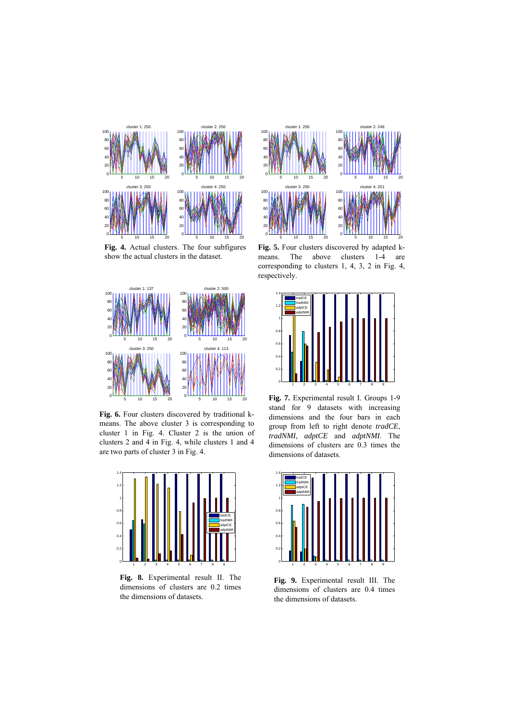

**Fig. 4.** Actual clusters. The four subfigures show the actual clusters in the dataset.



**Fig. 6.** Four clusters discovered by traditional kmeans. The above cluster 3 is corresponding to cluster 1 in Fig. 4. Cluster 2 is the union of clusters 2 and 4 in Fig. 4, while clusters 1 and 4 are two parts of cluster 3 in Fig. 4.



**Fig. 8.** Experimental result II. The dimensions of clusters are 0.2 times the dimensions of datasets.



**Fig. 5.** Four clusters discovered by adapted kmeans. The above clusters 1-4 are corresponding to clusters 1, 4, 3, 2 in Fig. 4, respectively.



**Fig. 7.** Experimental result I. Groups 1-9 stand for 9 datasets with increasing dimensions and the four bars in each group from left to right denote *tradCE*, *tradNMI*, *adptCE* and *adptNMI*. The dimensions of clusters are 0.3 times the dimensions of datasets.



**Fig. 9.** Experimental result III. The dimensions of clusters are 0.4 times the dimensions of datasets.